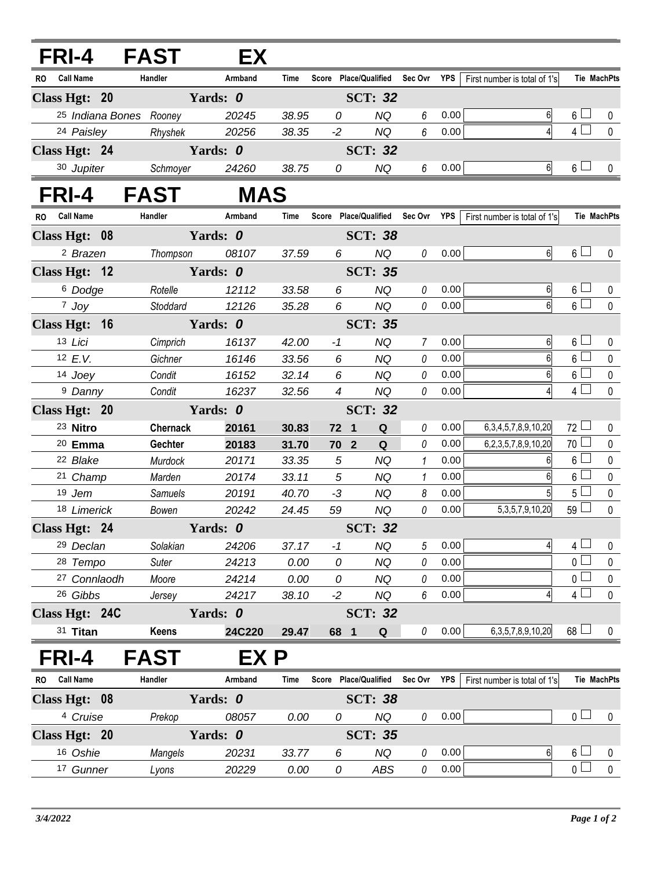|               | FRI-4 FAST           |                         | EX         |             |                 |                        |                                   |      |                              |                 |                    |
|---------------|----------------------|-------------------------|------------|-------------|-----------------|------------------------|-----------------------------------|------|------------------------------|-----------------|--------------------|
|               | RO Call Name         | Handler                 | Armband    | <b>Time</b> |                 |                        | Score Place/Qualified Sec Ovr YPS |      | First number is total of 1's |                 | <b>Tie MachPts</b> |
| Class Hgt: 20 |                      |                         | Yards: 0   |             |                 | <b>SCT: 32</b>         |                                   |      |                              |                 |                    |
|               |                      | 25 Indiana Bones Rooney | 20245      | 38.95       | 0               | <b>NQ</b>              | 6                                 | 0.00 | 6                            | $6 \Box$        | 0                  |
|               | 24 Paisley           | Rhyshek                 | 20256      | 38.35       | $-2$            | <b>NQ</b>              | $6\,$                             | 0.00 | 4                            | $4\Box$         | $\mathbf 0$        |
|               | Class Hgt: 24        |                         | Yards: 0   |             |                 | <b>SCT: 32</b>         |                                   |      |                              |                 |                    |
|               | 30 Jupiter           | Schmoyer                | 24260      | 38.75       | 0               | <b>NQ</b>              | 6                                 | 0.00 | 6                            | 6 <sup>1</sup>  | $\mathbf 0$        |
|               | FRI-4                | <b>FAST</b>             | <b>MAS</b> |             |                 |                        |                                   |      |                              |                 |                    |
| <b>RO</b>     | <b>Call Name</b>     | Handler                 | Armband    | Time        |                 |                        | Score Place/Qualified Sec Ovr YPS |      | First number is total of 1's |                 | <b>Tie MachPts</b> |
|               | Class Hgt: 08        |                         | Yards: 0   |             |                 | <b>SCT: 38</b>         |                                   |      |                              |                 |                    |
|               | <sup>2</sup> Brazen  | Thompson                | 08107      | 37.59       | 6               | <b>NQ</b>              | 0                                 | 0.00 | 6 <sup>1</sup>               | $6 \Box$        | $\mathbf 0$        |
|               | Class Hgt: 12        |                         | Yards: 0   |             |                 | <b>SCT: 35</b>         |                                   |      |                              |                 |                    |
|               | <sup>6</sup> Dodge   | Rotelle                 | 12112      | 33.58       | 6               | <b>NQ</b>              | 0                                 | 0.00 | 6                            | 6 <sup>1</sup>  | 0                  |
|               | $7$ Joy              | Stoddard                | 12126      | 35.28       | 6               | <b>NQ</b>              | 0                                 | 0.00 | 6 <sup>1</sup>               | $6-1$           | $\mathbf 0$        |
|               | Class Hgt: 16        |                         | Yards: 0   |             |                 | <b>SCT: 35</b>         |                                   |      |                              |                 |                    |
|               | 13 Lici              | Cimprich                | 16137      | 42.00       | $-1$            | <b>NQ</b>              | 7                                 | 0.00 | 6                            | $6\perp$        | 0                  |
|               | 12 $E.V.$            | Gichner                 | 16146      | 33.56       | 6               | NQ                     | 0                                 | 0.00 | 6                            | 6 <sup>L</sup>  | $\pmb{0}$          |
|               | 14 Joey              | Condit                  | 16152      | 32.14       | 6               | <b>NQ</b>              | 0                                 | 0.00 | 6                            | $6\Box$         | $\pmb{0}$          |
|               | <sup>9</sup> Danny   | Condit                  | 16237      | 32.56       | $\overline{4}$  | <b>NQ</b>              | 0                                 | 0.00 | $\overline{4}$               | $4 \Box$        | $\mathbf 0$        |
|               | Class Hgt: 20        |                         | Yards: 0   |             |                 | <b>SCT: 32</b>         |                                   |      |                              |                 |                    |
|               | 23 Nitro             | <b>Chernack</b>         | 20161      | 30.83       | 72 1            | Q                      | 0                                 | 0.00 | 6, 3, 4, 5, 7, 8, 9, 10, 20  | $72$ $-$        | $\mathbf 0$        |
|               | $20$ Emma            | Gechter                 | 20183      | 31.70       | 70 <sub>2</sub> | Q                      | $\theta$                          | 0.00 | 6,2,3,5,7,8,9,10,20          | 70 <sup>1</sup> | 0                  |
|               | <sup>22</sup> Blake  | Murdock                 | 20171      | 33.35       | 5               | <b>NQ</b>              | $\mathbf{1}$                      | 0.00 | 61                           | $6\Box$         | $\pmb{0}$          |
|               | 21 Champ             | Marden                  | 20174      | 33.11       | 5               | <b>NQ</b>              | 1                                 | 0.00 | 6                            | $6\phantom{.}$  | $\pmb{0}$          |
|               | 19 Jem               | <b>Samuels</b>          | 20191      | 40.70       | $-3$            | <b>NQ</b>              | 8                                 | 0.00 | 5 <sup>1</sup>               | 5 <sub>1</sub>  | $\pmb{0}$          |
|               | 18 Limerick          | Bowen                   | 20242      | 24.45       | 59              | <b>NQ</b>              | $\it{0}$                          | 0.00 | 5, 3, 5, 7, 9, 10, 20        | 59 L            | $\pmb{0}$          |
|               | Class Hgt: 24        |                         | Yards: 0   |             |                 | <b>SCT: 32</b>         |                                   |      |                              |                 |                    |
|               | <sup>29</sup> Declan | Solakian                | 24206      | 37.17       | $-1$            | <b>NQ</b>              | 5                                 | 0.00 | 4                            | 4 <sup>1</sup>  | 0                  |
|               | 28 Tempo             | <b>Suter</b>            | 24213      | 0.00        | 0               | <b>NQ</b>              | 0                                 | 0.00 |                              | 0 l             | 0                  |
|               | 27 Connlaodh         | Moore                   | 24214      | 0.00        | 0               | <b>NQ</b>              | 0                                 | 0.00 |                              | 0 l             | $\pmb{0}$          |
|               | 26 Gibbs             | Jersey                  | 24217      | 38.10       | $-2$            | <b>NQ</b>              | 6                                 | 0.00 | 4                            | 4 <sup>1</sup>  | $\pmb{0}$          |
|               | Class Hgt: 24C       |                         | Yards: 0   |             |                 | <b>SCT: 32</b>         |                                   |      |                              |                 |                    |
|               | 31 Titan             | Keens                   | 24C220     | 29.47       | 68 1            | Q                      | 0                                 | 0.00 | 6, 3, 5, 7, 8, 9, 10, 20     | $68$ $\Box$     | $\mathbf 0$        |
|               | FRI-4                | <b>FAST</b>             | EX P       |             |                 |                        |                                   |      |                              |                 |                    |
| RO.           | <b>Call Name</b>     | Handler                 | Armband    | Time        | Score           | <b>Place/Qualified</b> | Sec Ovr YPS                       |      | First number is total of 1's |                 | <b>Tie MachPts</b> |
|               | Class Hgt: 08        |                         | Yards: 0   |             |                 | <b>SCT: 38</b>         |                                   |      |                              |                 |                    |
|               | <sup>4</sup> Cruise  | Prekop                  | 08057      | 0.00        | 0               | NQ                     | 0                                 | 0.00 |                              | 0 <sub>0</sub>  | 0                  |
|               | Class Hgt: 20        |                         | Yards: 0   |             |                 | <b>SCT: 35</b>         |                                   |      |                              |                 |                    |
|               | 16 Oshie             | Mangels                 | 20231      | 33.77       | 6               | <b>NQ</b>              | 0                                 | 0.00 | 6                            | $6\sqcup$       | $\bf{0}$           |
|               | 17 Gunner            | Lyons                   | 20229      | 0.00        | 0               | ABS                    | $\it{0}$                          | 0.00 |                              | $\overline{0}$  | $\pmb{0}$          |